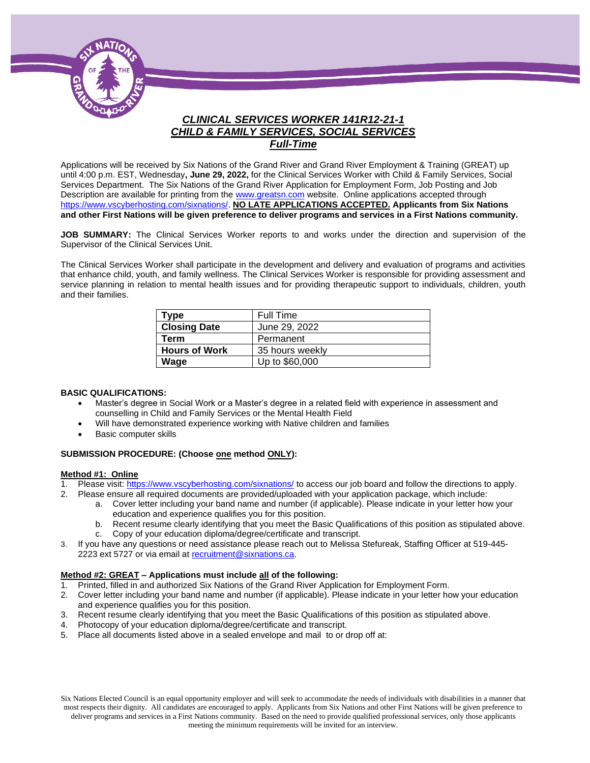

## *CLINICAL SERVICES WORKER 141R12-21-1 CHILD & FAMILY SERVICES, SOCIAL SERVICES Full-Time*

Applications will be received by Six Nations of the Grand River and Grand River Employment & Training (GREAT) up until 4:00 p.m. EST, Wednesday**, June 29, 2022,** for the Clinical Services Worker with Child & Family Services, Social Services Department. The Six Nations of the Grand River Application for Employment Form, Job Posting and Job Description are available for printing from the [www.greatsn.com](http://www.greatsn.com/) website. Online applications accepted through [https://www.vscyberhosting.com/sixnations/.](https://www.vscyberhosting.com/sixnations/) **NO LATE APPLICATIONS ACCEPTED. Applicants from Six Nations and other First Nations will be given preference to deliver programs and services in a First Nations community.**

**JOB SUMMARY:** The Clinical Services Worker reports to and works under the direction and supervision of the Supervisor of the Clinical Services Unit.

The Clinical Services Worker shall participate in the development and delivery and evaluation of programs and activities that enhance child, youth, and family wellness. The Clinical Services Worker is responsible for providing assessment and service planning in relation to mental health issues and for providing therapeutic support to individuals, children, youth and their families.

| Type                 | Full Time       |
|----------------------|-----------------|
| <b>Closing Date</b>  | June 29, 2022   |
| Term                 | Permanent       |
| <b>Hours of Work</b> | 35 hours weekly |
| Wage                 | Up to \$60,000  |

#### **BASIC QUALIFICATIONS:**

- Master's degree in Social Work or a Master's degree in a related field with experience in assessment and counselling in Child and Family Services or the Mental Health Field
- Will have demonstrated experience working with Native children and families
- Basic computer skills

#### **SUBMISSION PROCEDURE: (Choose one method ONLY):**

#### **Method #1: Online**

- 1. Please visit[: https://www.vscyberhosting.com/sixnations/](https://www.vscyberhosting.com/sixnations/) to access our job board and follow the directions to apply.
- 2. Please ensure all required documents are provided/uploaded with your application package, which include:
	- a. Cover letter including your band name and number (if applicable). Please indicate in your letter how your education and experience qualifies you for this position.
	- b. Recent resume clearly identifying that you meet the Basic Qualifications of this position as stipulated above.
	- c. Copy of your education diploma/degree/certificate and transcript.
- 3. If you have any questions or need assistance please reach out to Melissa Stefureak, Staffing Officer at 519-445- 2223 ext 5727 or via email at [recruitment@sixnations.ca.](mailto:recruitment@sixnations.ca)

#### **Method #2: GREAT – Applications must include all of the following:**

- 1. Printed, filled in and authorized Six Nations of the Grand River Application for Employment Form.
- 2. Cover letter including your band name and number (if applicable). Please indicate in your letter how your education and experience qualifies you for this position.
- 3. Recent resume clearly identifying that you meet the Basic Qualifications of this position as stipulated above.
- 4. Photocopy of your education diploma/degree/certificate and transcript.
- 5. Place all documents listed above in a sealed envelope and mail to or drop off at: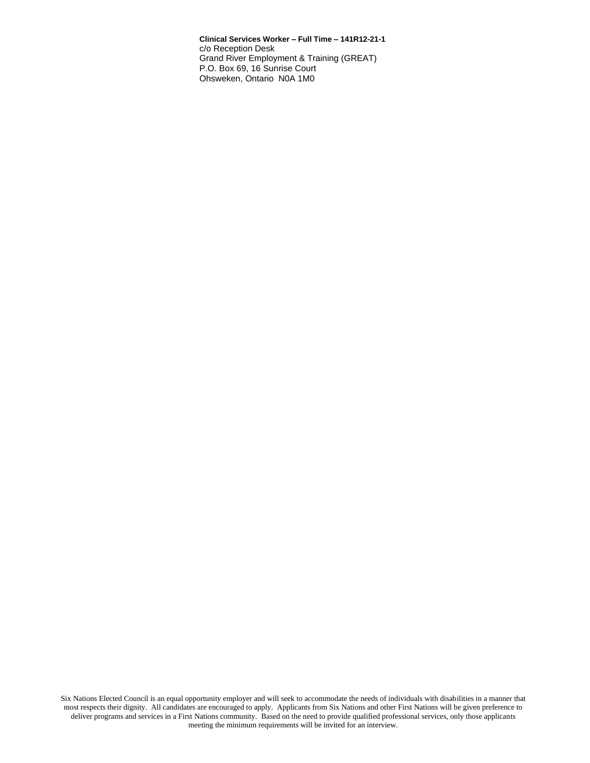**Clinical Services Worker – Full Time – 141R12-21-1** c/o Reception Desk Grand River Employment & Training (GREAT) P.O. Box 69, 16 Sunrise Court Ohsweken, Ontario N0A 1M0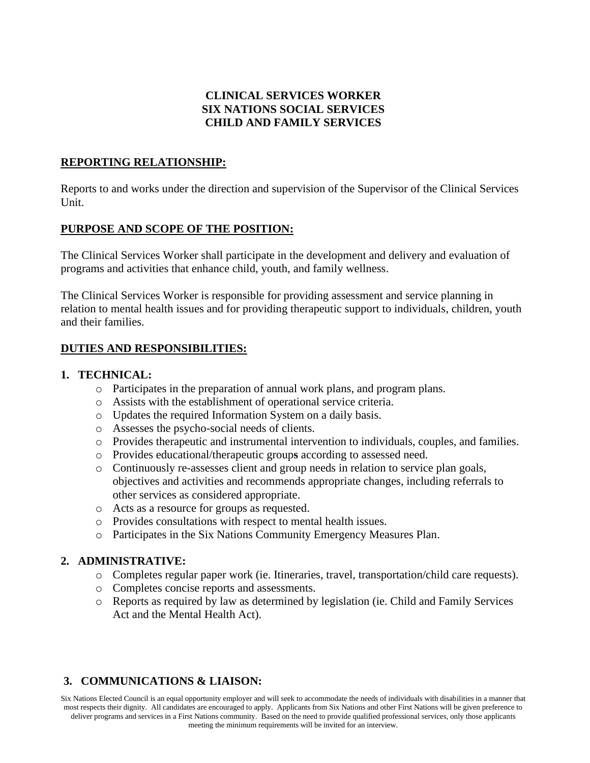## **CLINICAL SERVICES WORKER SIX NATIONS SOCIAL SERVICES CHILD AND FAMILY SERVICES**

### **REPORTING RELATIONSHIP:**

Reports to and works under the direction and supervision of the Supervisor of the Clinical Services Unit.

### **PURPOSE AND SCOPE OF THE POSITION:**

The Clinical Services Worker shall participate in the development and delivery and evaluation of programs and activities that enhance child, youth, and family wellness.

The Clinical Services Worker is responsible for providing assessment and service planning in relation to mental health issues and for providing therapeutic support to individuals, children, youth and their families.

#### **DUTIES AND RESPONSIBILITIES:**

#### **1. TECHNICAL:**

- o Participates in the preparation of annual work plans, and program plans.
- o Assists with the establishment of operational service criteria.
- o Updates the required Information System on a daily basis.
- o Assesses the psycho-social needs of clients.
- o Provides therapeutic and instrumental intervention to individuals, couples, and families.
- o Provides educational/therapeutic group**s** according to assessed need.
- o Continuously re-assesses client and group needs in relation to service plan goals, objectives and activities and recommends appropriate changes, including referrals to other services as considered appropriate.
- o Acts as a resource for groups as requested.
- o Provides consultations with respect to mental health issues.
- o Participates in the Six Nations Community Emergency Measures Plan.

#### **2. ADMINISTRATIVE:**

- o Completes regular paper work (ie. Itineraries, travel, transportation/child care requests).
- o Completes concise reports and assessments.
- o Reports as required by law as determined by legislation (ie. Child and Family Services Act and the Mental Health Act).

# **3. COMMUNICATIONS & LIAISON:**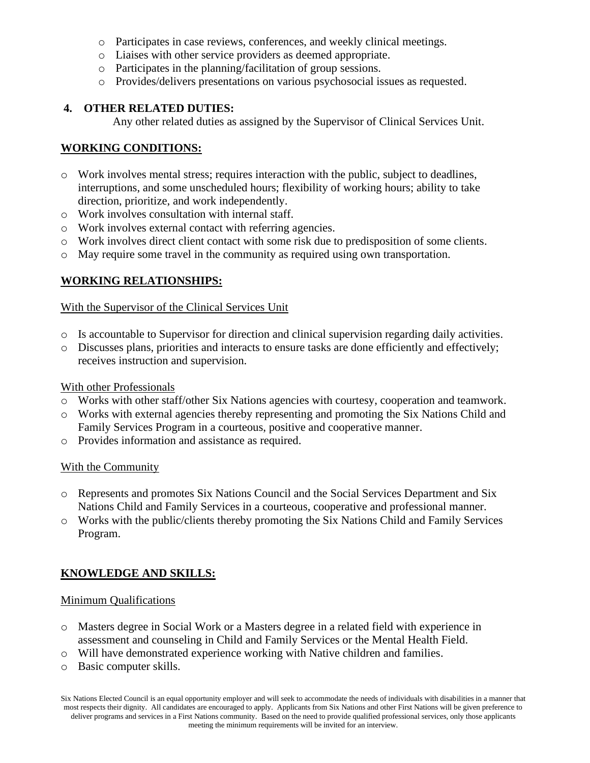- o Participates in case reviews, conferences, and weekly clinical meetings.
- o Liaises with other service providers as deemed appropriate.
- o Participates in the planning/facilitation of group sessions.
- o Provides/delivers presentations on various psychosocial issues as requested.

### **4. OTHER RELATED DUTIES:**

Any other related duties as assigned by the Supervisor of Clinical Services Unit.

## **WORKING CONDITIONS:**

- o Work involves mental stress; requires interaction with the public, subject to deadlines, interruptions, and some unscheduled hours; flexibility of working hours; ability to take direction, prioritize, and work independently.
- o Work involves consultation with internal staff.
- o Work involves external contact with referring agencies.
- o Work involves direct client contact with some risk due to predisposition of some clients.
- o May require some travel in the community as required using own transportation.

## **WORKING RELATIONSHIPS:**

#### With the Supervisor of the Clinical Services Unit

- o Is accountable to Supervisor for direction and clinical supervision regarding daily activities.
- o Discusses plans, priorities and interacts to ensure tasks are done efficiently and effectively; receives instruction and supervision.

#### With other Professionals

- o Works with other staff/other Six Nations agencies with courtesy, cooperation and teamwork.
- o Works with external agencies thereby representing and promoting the Six Nations Child and Family Services Program in a courteous, positive and cooperative manner.
- o Provides information and assistance as required.

#### With the Community

- o Represents and promotes Six Nations Council and the Social Services Department and Six Nations Child and Family Services in a courteous, cooperative and professional manner.
- o Works with the public/clients thereby promoting the Six Nations Child and Family Services Program.

# **KNOWLEDGE AND SKILLS:**

### Minimum Qualifications

- o Masters degree in Social Work or a Masters degree in a related field with experience in assessment and counseling in Child and Family Services or the Mental Health Field.
- o Will have demonstrated experience working with Native children and families.
- o Basic computer skills.